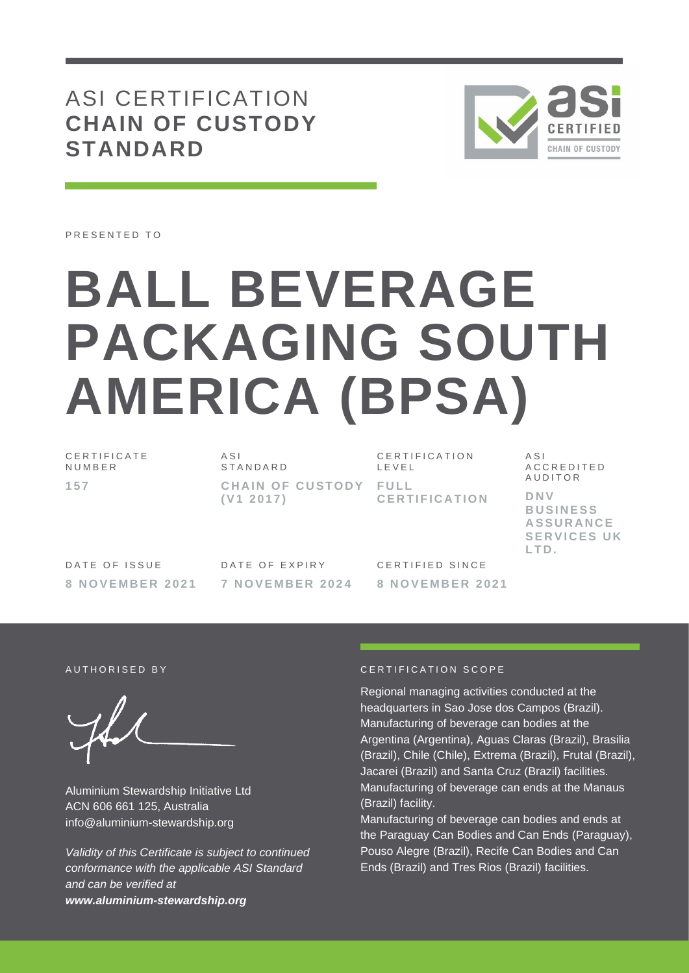## ASI CERTIFICATION **CHAIN OF CUSTODY STANDARD**



PRESENTED TO

# **BALL BEVERAGE PACKAGING SOUTH AMERICA (BPSA)**

C E R T I F I C A T E **NUMBER 1 5 7**

A S I **STANDARD CHAIN OF CUSTODY FULL ( V1 2 0 1 7 )**

CERTIFICATION L E V E L **C E R T I F I C A T I O N** A S I A C C R E D I T E D **AUDITOR D N V B U S I N E S S A S S U R A N C E SERVICES UK L T D .**

DATE OF ISSUE **8 N O V E M B E R 2 0 2 1** DATE OF EXPIRY **7 N O V E M B E R 2 0 2 4** CERTIFIED SINCE **8 N O V E M B E R 2 0 2 1**

Aluminium Stewardship Initiative Ltd ACN 606 661 125, Australia info@aluminium-stewardship.org

*Validity of this Certificate is subject to continued conformance with the applicable ASI Standard and can be verified at www.aluminium-stewardship.org*

#### A U T HORISED BY CERTIFICATION SCOPE

Regional managing activities conducted at the headquarters in Sao Jose dos Campos (Brazil). Manufacturing of beverage can bodies at the Argentina (Argentina), Aguas Claras (Brazil), Brasilia (Brazil), Chile (Chile), Extrema (Brazil), Frutal (Brazil), Jacarei (Brazil) and Santa Cruz (Brazil) facilities. Manufacturing of beverage can ends at the Manaus (Brazil) facility.

Manufacturing of beverage can bodies and ends at the Paraguay Can Bodies and Can Ends (Paraguay), Pouso Alegre (Brazil), Recife Can Bodies and Can Ends (Brazil) and Tres Rios (Brazil) facilities.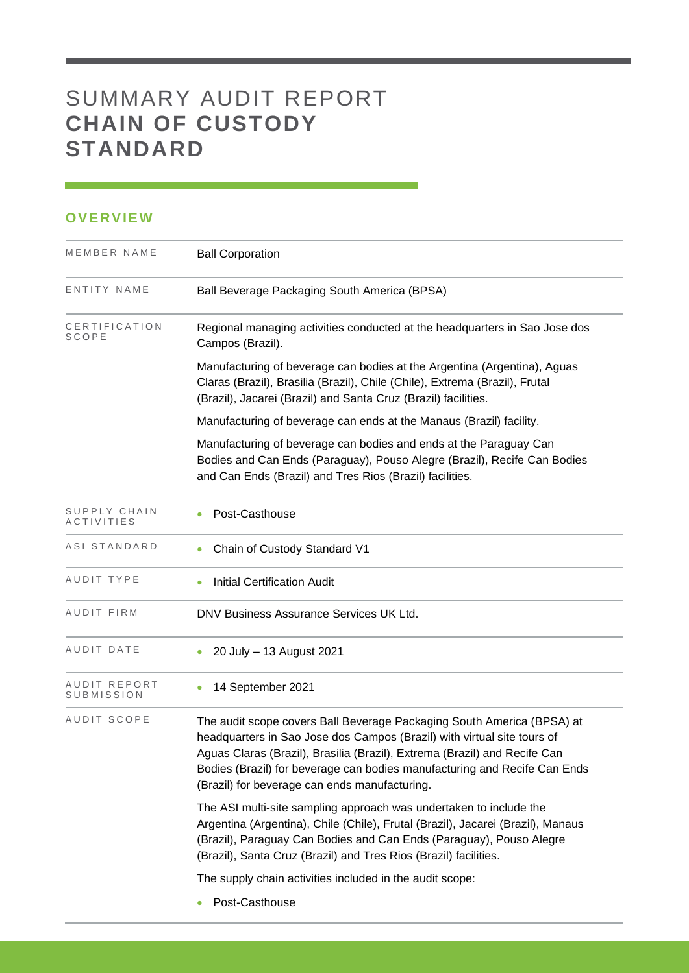## SUMMARY AUDIT REPORT **CHAIN OF CUSTODY STANDARD**

#### **OVERVIEW**

| MEMBER NAME                | <b>Ball Corporation</b>                                                                                                                                                                                                                                                                                                                                      |  |  |  |  |
|----------------------------|--------------------------------------------------------------------------------------------------------------------------------------------------------------------------------------------------------------------------------------------------------------------------------------------------------------------------------------------------------------|--|--|--|--|
| ENTITY NAME                | Ball Beverage Packaging South America (BPSA)                                                                                                                                                                                                                                                                                                                 |  |  |  |  |
| CERTIFICATION<br>SCOPE     | Regional managing activities conducted at the headquarters in Sao Jose dos<br>Campos (Brazil).                                                                                                                                                                                                                                                               |  |  |  |  |
|                            | Manufacturing of beverage can bodies at the Argentina (Argentina), Aguas<br>Claras (Brazil), Brasilia (Brazil), Chile (Chile), Extrema (Brazil), Frutal<br>(Brazil), Jacarei (Brazil) and Santa Cruz (Brazil) facilities.                                                                                                                                    |  |  |  |  |
|                            | Manufacturing of beverage can ends at the Manaus (Brazil) facility.                                                                                                                                                                                                                                                                                          |  |  |  |  |
|                            | Manufacturing of beverage can bodies and ends at the Paraguay Can<br>Bodies and Can Ends (Paraguay), Pouso Alegre (Brazil), Recife Can Bodies<br>and Can Ends (Brazil) and Tres Rios (Brazil) facilities.                                                                                                                                                    |  |  |  |  |
| SUPPLY CHAIN<br>ACTIVITIES | Post-Casthouse                                                                                                                                                                                                                                                                                                                                               |  |  |  |  |
| ASI STANDARD               | Chain of Custody Standard V1<br>$\bullet$                                                                                                                                                                                                                                                                                                                    |  |  |  |  |
| AUDIT TYPE                 | <b>Initial Certification Audit</b><br>٠                                                                                                                                                                                                                                                                                                                      |  |  |  |  |
| AUDIT FIRM                 | DNV Business Assurance Services UK Ltd.                                                                                                                                                                                                                                                                                                                      |  |  |  |  |
| AUDIT DATE                 | 20 July - 13 August 2021                                                                                                                                                                                                                                                                                                                                     |  |  |  |  |
| AUDIT REPORT<br>SUBMISSION | 14 September 2021<br>٠                                                                                                                                                                                                                                                                                                                                       |  |  |  |  |
| AUDIT SCOPE                | The audit scope covers Ball Beverage Packaging South America (BPSA) at<br>headquarters in Sao Jose dos Campos (Brazil) with virtual site tours of<br>Aguas Claras (Brazil), Brasilia (Brazil), Extrema (Brazil) and Recife Can<br>Bodies (Brazil) for beverage can bodies manufacturing and Recife Can Ends<br>(Brazil) for beverage can ends manufacturing. |  |  |  |  |
|                            | The ASI multi-site sampling approach was undertaken to include the<br>Argentina (Argentina), Chile (Chile), Frutal (Brazil), Jacarei (Brazil), Manaus<br>(Brazil), Paraguay Can Bodies and Can Ends (Paraguay), Pouso Alegre<br>(Brazil), Santa Cruz (Brazil) and Tres Rios (Brazil) facilities.                                                             |  |  |  |  |
|                            | The supply chain activities included in the audit scope:                                                                                                                                                                                                                                                                                                     |  |  |  |  |
|                            | Post-Casthouse<br>$\bullet$                                                                                                                                                                                                                                                                                                                                  |  |  |  |  |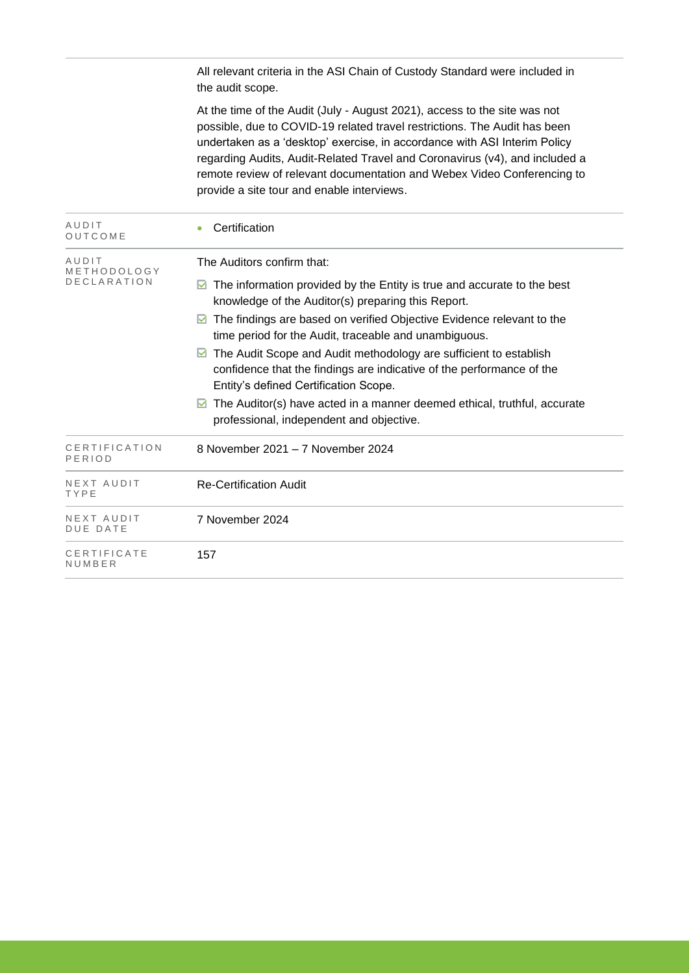All relevant criteria in the ASI Chain of Custody Standard were included in the audit scope.

At the time of the Audit (July - August 2021), access to the site was not possible, due to COVID-19 related travel restrictions. The Audit has been undertaken as a 'desktop' exercise, in accordance with ASI Interim Policy regarding Audits, Audit-Related Travel and Coronavirus (v4), and included a remote review of relevant documentation and Webex Video Conferencing to provide a site tour and enable interviews.

| AUDIT<br>OUTCOME                           | Certification                                                                                                                                                                                                                                                                                                                                                                                                                                                                                                                                                                                                               |
|--------------------------------------------|-----------------------------------------------------------------------------------------------------------------------------------------------------------------------------------------------------------------------------------------------------------------------------------------------------------------------------------------------------------------------------------------------------------------------------------------------------------------------------------------------------------------------------------------------------------------------------------------------------------------------------|
| AUDIT<br>METHODOLOGY<br><b>DECLARATION</b> | The Auditors confirm that:<br>The information provided by the Entity is true and accurate to the best<br>M<br>knowledge of the Auditor(s) preparing this Report.<br>The findings are based on verified Objective Evidence relevant to the<br>М<br>time period for the Audit, traceable and unambiguous.<br>The Audit Scope and Audit methodology are sufficient to establish<br>M<br>confidence that the findings are indicative of the performance of the<br>Entity's defined Certification Scope.<br>The Auditor(s) have acted in a manner deemed ethical, truthful, accurate<br>professional, independent and objective. |
| CERTIFICATION<br>PERIOD                    | 8 November 2021 - 7 November 2024                                                                                                                                                                                                                                                                                                                                                                                                                                                                                                                                                                                           |
| NEXT AUDIT<br>TYPE                         | <b>Re-Certification Audit</b>                                                                                                                                                                                                                                                                                                                                                                                                                                                                                                                                                                                               |
| NEXT AUDIT<br><b>DUE DATE</b>              | 7 November 2024                                                                                                                                                                                                                                                                                                                                                                                                                                                                                                                                                                                                             |
| CERTIFICATE<br>NUMBER                      | 157                                                                                                                                                                                                                                                                                                                                                                                                                                                                                                                                                                                                                         |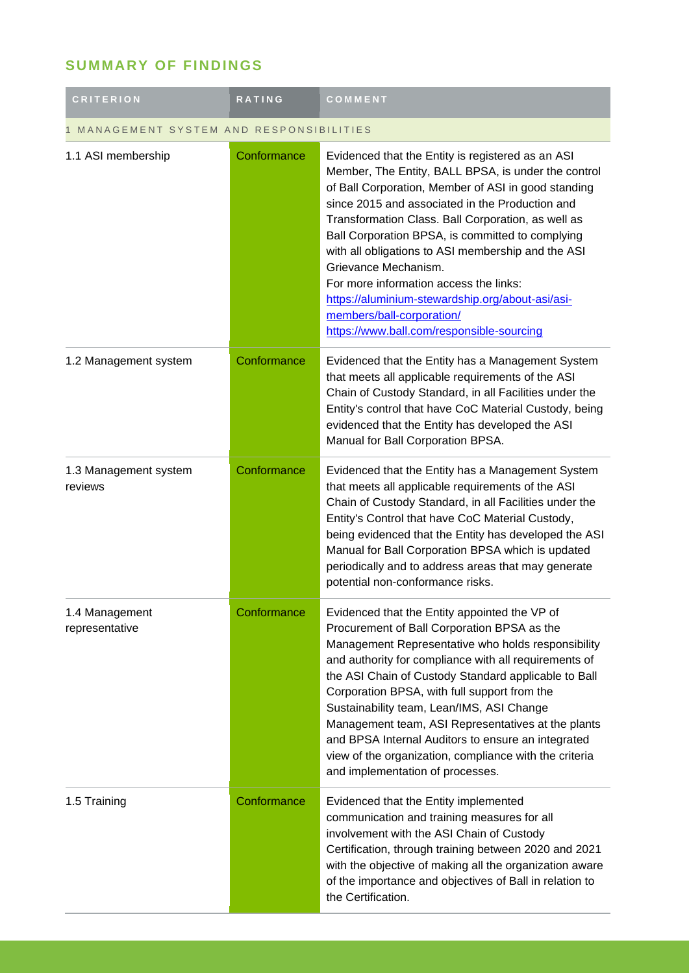### **SUMMARY OF FINDINGS**

| <b>CRITERION</b>                       | <b>RATING</b> | COMMENT                                                                                                                                                                                                                                                                                                                                                                                                                                                                                                                                                                            |  |
|----------------------------------------|---------------|------------------------------------------------------------------------------------------------------------------------------------------------------------------------------------------------------------------------------------------------------------------------------------------------------------------------------------------------------------------------------------------------------------------------------------------------------------------------------------------------------------------------------------------------------------------------------------|--|
| MANAGEMENT SYSTEM AND RESPONSIBILITIES |               |                                                                                                                                                                                                                                                                                                                                                                                                                                                                                                                                                                                    |  |
| 1.1 ASI membership                     | Conformance   | Evidenced that the Entity is registered as an ASI<br>Member, The Entity, BALL BPSA, is under the control<br>of Ball Corporation, Member of ASI in good standing<br>since 2015 and associated in the Production and<br>Transformation Class. Ball Corporation, as well as<br>Ball Corporation BPSA, is committed to complying<br>with all obligations to ASI membership and the ASI<br>Grievance Mechanism.<br>For more information access the links:<br>https://aluminium-stewardship.org/about-asi/asi-<br>members/ball-corporation/<br>https://www.ball.com/responsible-sourcing |  |
| 1.2 Management system                  | Conformance   | Evidenced that the Entity has a Management System<br>that meets all applicable requirements of the ASI<br>Chain of Custody Standard, in all Facilities under the<br>Entity's control that have CoC Material Custody, being<br>evidenced that the Entity has developed the ASI<br>Manual for Ball Corporation BPSA.                                                                                                                                                                                                                                                                 |  |
| 1.3 Management system<br>reviews       | Conformance   | Evidenced that the Entity has a Management System<br>that meets all applicable requirements of the ASI<br>Chain of Custody Standard, in all Facilities under the<br>Entity's Control that have CoC Material Custody,<br>being evidenced that the Entity has developed the ASI<br>Manual for Ball Corporation BPSA which is updated<br>periodically and to address areas that may generate<br>potential non-conformance risks.                                                                                                                                                      |  |
| 1.4 Management<br>representative       | Conformance   | Evidenced that the Entity appointed the VP of<br>Procurement of Ball Corporation BPSA as the<br>Management Representative who holds responsibility<br>and authority for compliance with all requirements of<br>the ASI Chain of Custody Standard applicable to Ball<br>Corporation BPSA, with full support from the<br>Sustainability team, Lean/IMS, ASI Change<br>Management team, ASI Representatives at the plants<br>and BPSA Internal Auditors to ensure an integrated<br>view of the organization, compliance with the criteria<br>and implementation of processes.         |  |
| 1.5 Training                           | Conformance   | Evidenced that the Entity implemented<br>communication and training measures for all<br>involvement with the ASI Chain of Custody<br>Certification, through training between 2020 and 2021<br>with the objective of making all the organization aware<br>of the importance and objectives of Ball in relation to<br>the Certification.                                                                                                                                                                                                                                             |  |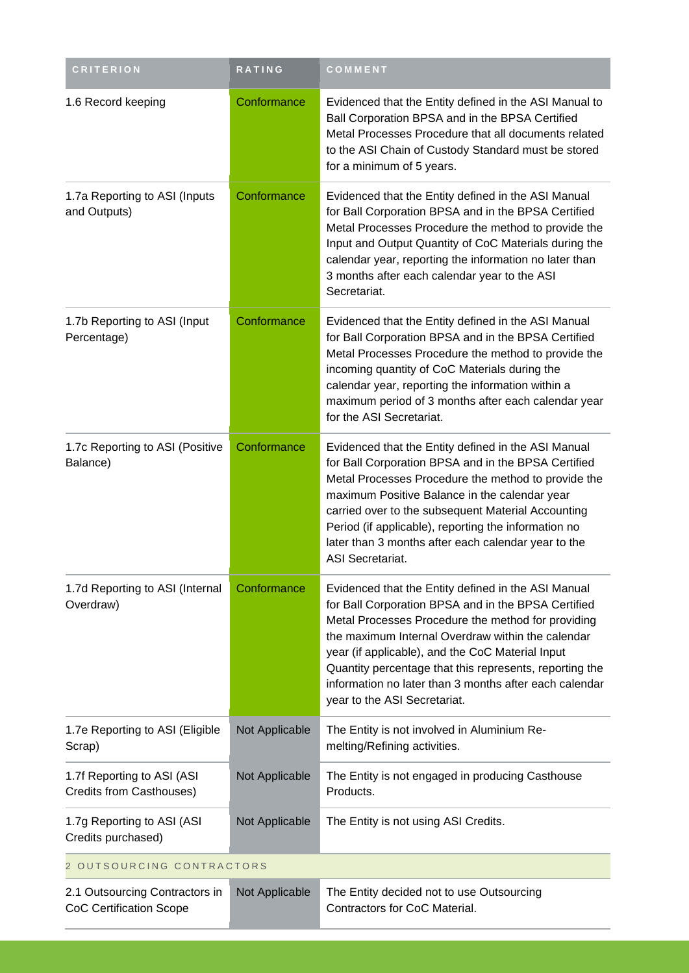| <b>CRITERION</b>                                                 | <b>RATING</b>  | COMMENT                                                                                                                                                                                                                                                                                                                                                                                                                        |  |
|------------------------------------------------------------------|----------------|--------------------------------------------------------------------------------------------------------------------------------------------------------------------------------------------------------------------------------------------------------------------------------------------------------------------------------------------------------------------------------------------------------------------------------|--|
| 1.6 Record keeping                                               | Conformance    | Evidenced that the Entity defined in the ASI Manual to<br>Ball Corporation BPSA and in the BPSA Certified<br>Metal Processes Procedure that all documents related<br>to the ASI Chain of Custody Standard must be stored<br>for a minimum of 5 years.                                                                                                                                                                          |  |
| 1.7a Reporting to ASI (Inputs<br>and Outputs)                    | Conformance    | Evidenced that the Entity defined in the ASI Manual<br>for Ball Corporation BPSA and in the BPSA Certified<br>Metal Processes Procedure the method to provide the<br>Input and Output Quantity of CoC Materials during the<br>calendar year, reporting the information no later than<br>3 months after each calendar year to the ASI<br>Secretariat.                                                                           |  |
| 1.7b Reporting to ASI (Input<br>Percentage)                      | Conformance    | Evidenced that the Entity defined in the ASI Manual<br>for Ball Corporation BPSA and in the BPSA Certified<br>Metal Processes Procedure the method to provide the<br>incoming quantity of CoC Materials during the<br>calendar year, reporting the information within a<br>maximum period of 3 months after each calendar year<br>for the ASI Secretariat.                                                                     |  |
| 1.7c Reporting to ASI (Positive<br>Balance)                      | Conformance    | Evidenced that the Entity defined in the ASI Manual<br>for Ball Corporation BPSA and in the BPSA Certified<br>Metal Processes Procedure the method to provide the<br>maximum Positive Balance in the calendar year<br>carried over to the subsequent Material Accounting<br>Period (if applicable), reporting the information no<br>later than 3 months after each calendar year to the<br><b>ASI Secretariat.</b>             |  |
| 1.7d Reporting to ASI (Internal<br>Overdraw)                     | Conformance    | Evidenced that the Entity defined in the ASI Manual<br>for Ball Corporation BPSA and in the BPSA Certified<br>Metal Processes Procedure the method for providing<br>the maximum Internal Overdraw within the calendar<br>year (if applicable), and the CoC Material Input<br>Quantity percentage that this represents, reporting the<br>information no later than 3 months after each calendar<br>year to the ASI Secretariat. |  |
| 1.7e Reporting to ASI (Eligible<br>Scrap)                        | Not Applicable | The Entity is not involved in Aluminium Re-<br>melting/Refining activities.                                                                                                                                                                                                                                                                                                                                                    |  |
| 1.7f Reporting to ASI (ASI<br>Credits from Casthouses)           | Not Applicable | The Entity is not engaged in producing Casthouse<br>Products.                                                                                                                                                                                                                                                                                                                                                                  |  |
| 1.7g Reporting to ASI (ASI<br>Credits purchased)                 | Not Applicable | The Entity is not using ASI Credits.                                                                                                                                                                                                                                                                                                                                                                                           |  |
| 2 OUTSOURCING CONTRACTORS                                        |                |                                                                                                                                                                                                                                                                                                                                                                                                                                |  |
| 2.1 Outsourcing Contractors in<br><b>CoC Certification Scope</b> | Not Applicable | The Entity decided not to use Outsourcing<br>Contractors for CoC Material.                                                                                                                                                                                                                                                                                                                                                     |  |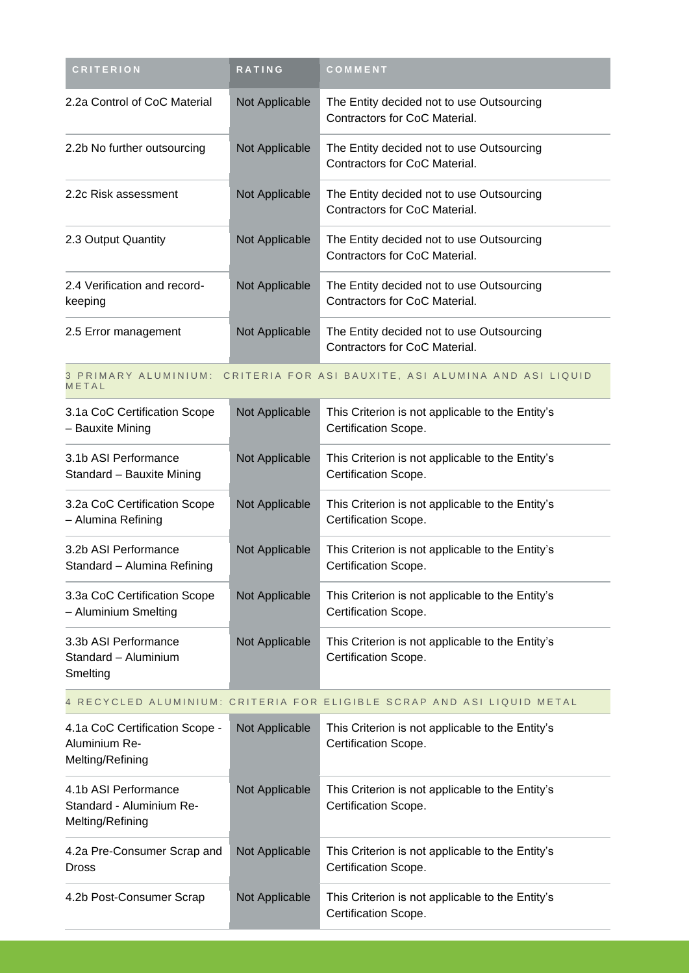| <b>CRITERION</b>                                                     | <b>RATING</b>  | COMMENT                                                                    |
|----------------------------------------------------------------------|----------------|----------------------------------------------------------------------------|
| 2.2a Control of CoC Material                                         | Not Applicable | The Entity decided not to use Outsourcing<br>Contractors for CoC Material. |
| 2.2b No further outsourcing                                          | Not Applicable | The Entity decided not to use Outsourcing<br>Contractors for CoC Material. |
| 2.2c Risk assessment                                                 | Not Applicable | The Entity decided not to use Outsourcing<br>Contractors for CoC Material. |
| 2.3 Output Quantity                                                  | Not Applicable | The Entity decided not to use Outsourcing<br>Contractors for CoC Material. |
| 2.4 Verification and record-<br>keeping                              | Not Applicable | The Entity decided not to use Outsourcing<br>Contractors for CoC Material. |
| 2.5 Error management                                                 | Not Applicable | The Entity decided not to use Outsourcing<br>Contractors for CoC Material. |
| METAL                                                                |                | 3 PRIMARY ALUMINIUM: CRITERIA FOR ASI BAUXITE, ASI ALUMINA AND ASI LIQUID  |
| 3.1a CoC Certification Scope<br>- Bauxite Mining                     | Not Applicable | This Criterion is not applicable to the Entity's<br>Certification Scope.   |
| 3.1b ASI Performance<br>Standard - Bauxite Mining                    | Not Applicable | This Criterion is not applicable to the Entity's<br>Certification Scope.   |
| 3.2a CoC Certification Scope<br>- Alumina Refining                   | Not Applicable | This Criterion is not applicable to the Entity's<br>Certification Scope.   |
| 3.2b ASI Performance<br>Standard - Alumina Refining                  | Not Applicable | This Criterion is not applicable to the Entity's<br>Certification Scope.   |
| 3.3a CoC Certification Scope<br>- Aluminium Smelting                 | Not Applicable | This Criterion is not applicable to the Entity's<br>Certification Scope.   |
| 3.3b ASI Performance<br>Standard - Aluminium<br>Smelting             | Not Applicable | This Criterion is not applicable to the Entity's<br>Certification Scope.   |
|                                                                      |                | 4 RECYCLED ALUMINIUM: CRITERIA FOR ELIGIBLE SCRAP AND ASI LIQUID METAL     |
| 4.1a CoC Certification Scope -<br>Aluminium Re-<br>Melting/Refining  | Not Applicable | This Criterion is not applicable to the Entity's<br>Certification Scope.   |
| 4.1b ASI Performance<br>Standard - Aluminium Re-<br>Melting/Refining | Not Applicable | This Criterion is not applicable to the Entity's<br>Certification Scope.   |
| 4.2a Pre-Consumer Scrap and<br>Dross                                 | Not Applicable | This Criterion is not applicable to the Entity's<br>Certification Scope.   |
| 4.2b Post-Consumer Scrap                                             | Not Applicable | This Criterion is not applicable to the Entity's<br>Certification Scope.   |
|                                                                      |                |                                                                            |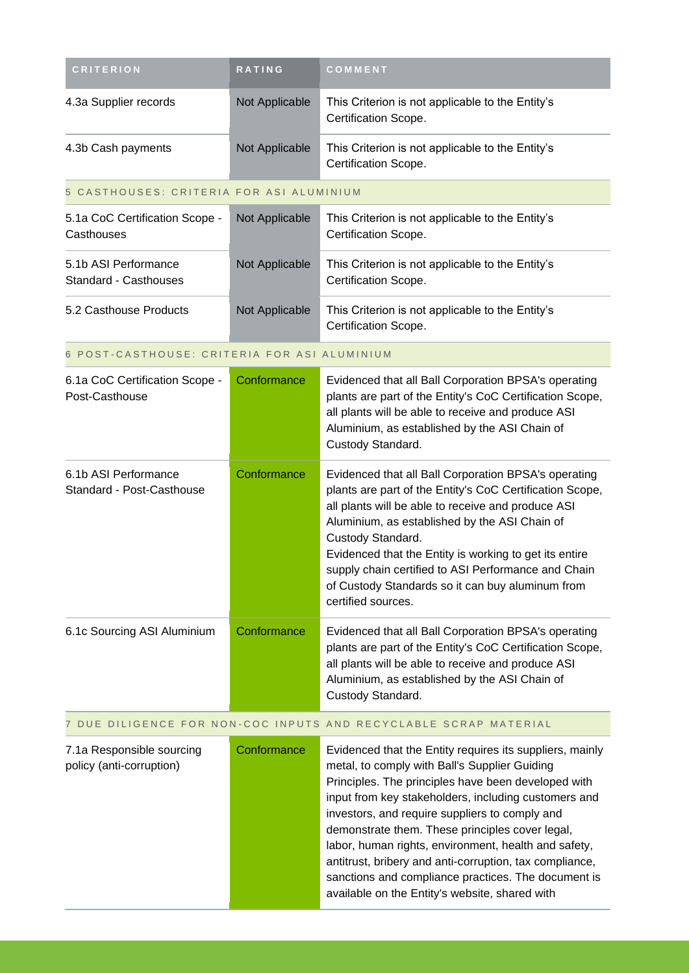| <b>CRITERION</b>                                      | RATING         | COMMENT                                                                                                                                                                                                                                                                                                                                                                                                                                                                                                                                                   |
|-------------------------------------------------------|----------------|-----------------------------------------------------------------------------------------------------------------------------------------------------------------------------------------------------------------------------------------------------------------------------------------------------------------------------------------------------------------------------------------------------------------------------------------------------------------------------------------------------------------------------------------------------------|
| 4.3a Supplier records                                 | Not Applicable | This Criterion is not applicable to the Entity's<br>Certification Scope.                                                                                                                                                                                                                                                                                                                                                                                                                                                                                  |
| 4.3b Cash payments                                    | Not Applicable | This Criterion is not applicable to the Entity's<br>Certification Scope.                                                                                                                                                                                                                                                                                                                                                                                                                                                                                  |
| 5 CASTHOUSES: CRITERIA FOR ASI ALUMINIUM              |                |                                                                                                                                                                                                                                                                                                                                                                                                                                                                                                                                                           |
| 5.1a CoC Certification Scope -<br>Casthouses          | Not Applicable | This Criterion is not applicable to the Entity's<br>Certification Scope.                                                                                                                                                                                                                                                                                                                                                                                                                                                                                  |
| 5.1b ASI Performance<br><b>Standard - Casthouses</b>  | Not Applicable | This Criterion is not applicable to the Entity's<br>Certification Scope.                                                                                                                                                                                                                                                                                                                                                                                                                                                                                  |
| 5.2 Casthouse Products                                | Not Applicable | This Criterion is not applicable to the Entity's<br>Certification Scope.                                                                                                                                                                                                                                                                                                                                                                                                                                                                                  |
| 6 POST-CASTHOUSE: CRITERIA FOR ASI ALUMINIUM          |                |                                                                                                                                                                                                                                                                                                                                                                                                                                                                                                                                                           |
| 6.1a CoC Certification Scope -<br>Post-Casthouse      | Conformance    | Evidenced that all Ball Corporation BPSA's operating<br>plants are part of the Entity's CoC Certification Scope,<br>all plants will be able to receive and produce ASI<br>Aluminium, as established by the ASI Chain of<br>Custody Standard.                                                                                                                                                                                                                                                                                                              |
| 6.1b ASI Performance<br>Standard - Post-Casthouse     | Conformance    | Evidenced that all Ball Corporation BPSA's operating<br>plants are part of the Entity's CoC Certification Scope,<br>all plants will be able to receive and produce ASI<br>Aluminium, as established by the ASI Chain of<br>Custody Standard.<br>Evidenced that the Entity is working to get its entire<br>supply chain certified to ASI Performance and Chain<br>of Custody Standards so it can buy aluminum from<br>certified sources.                                                                                                                   |
| 6.1c Sourcing ASI Aluminium                           | Conformance    | Evidenced that all Ball Corporation BPSA's operating<br>plants are part of the Entity's CoC Certification Scope,<br>all plants will be able to receive and produce ASI<br>Aluminium, as established by the ASI Chain of<br>Custody Standard.                                                                                                                                                                                                                                                                                                              |
|                                                       |                | 7 DUE DILIGENCE FOR NON-COC INPUTS AND RECYCLABLE SCRAP MATERIAL                                                                                                                                                                                                                                                                                                                                                                                                                                                                                          |
| 7.1a Responsible sourcing<br>policy (anti-corruption) | Conformance    | Evidenced that the Entity requires its suppliers, mainly<br>metal, to comply with Ball's Supplier Guiding<br>Principles. The principles have been developed with<br>input from key stakeholders, including customers and<br>investors, and require suppliers to comply and<br>demonstrate them. These principles cover legal,<br>labor, human rights, environment, health and safety,<br>antitrust, bribery and anti-corruption, tax compliance,<br>sanctions and compliance practices. The document is<br>available on the Entity's website, shared with |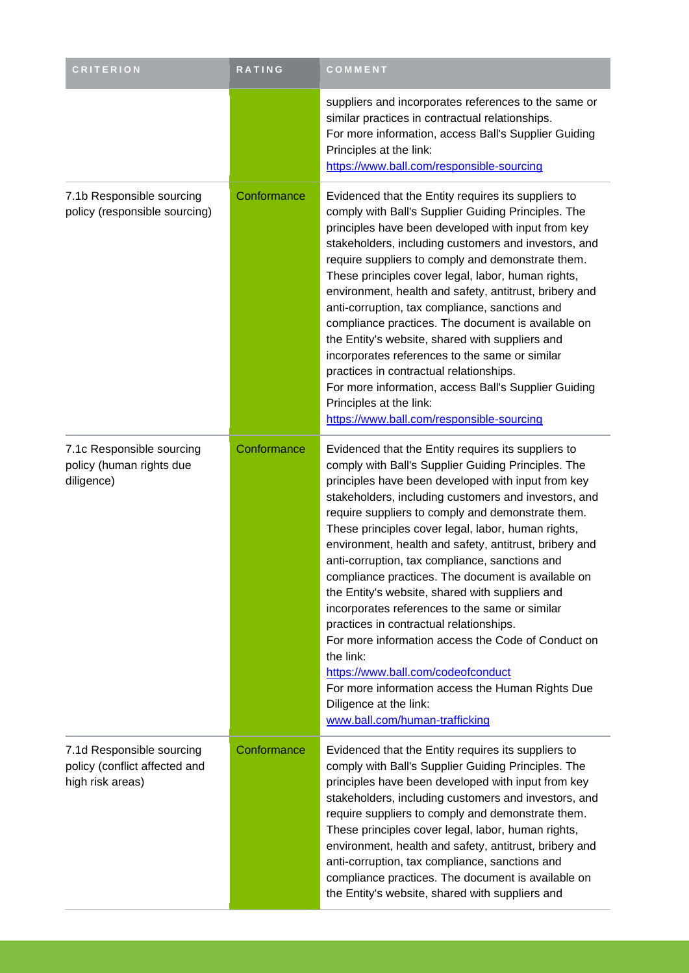| <b>CRITERION</b>                                                               | RATING      | COMMENT                                                                                                                                                                                                                                                                                                                                                                                                                                                                                                                                                                                                                                                                                                                                                                                                                                                                        |
|--------------------------------------------------------------------------------|-------------|--------------------------------------------------------------------------------------------------------------------------------------------------------------------------------------------------------------------------------------------------------------------------------------------------------------------------------------------------------------------------------------------------------------------------------------------------------------------------------------------------------------------------------------------------------------------------------------------------------------------------------------------------------------------------------------------------------------------------------------------------------------------------------------------------------------------------------------------------------------------------------|
|                                                                                |             | suppliers and incorporates references to the same or<br>similar practices in contractual relationships.<br>For more information, access Ball's Supplier Guiding<br>Principles at the link:<br>https://www.ball.com/responsible-sourcing                                                                                                                                                                                                                                                                                                                                                                                                                                                                                                                                                                                                                                        |
| 7.1b Responsible sourcing<br>policy (responsible sourcing)                     | Conformance | Evidenced that the Entity requires its suppliers to<br>comply with Ball's Supplier Guiding Principles. The<br>principles have been developed with input from key<br>stakeholders, including customers and investors, and<br>require suppliers to comply and demonstrate them.<br>These principles cover legal, labor, human rights,<br>environment, health and safety, antitrust, bribery and<br>anti-corruption, tax compliance, sanctions and<br>compliance practices. The document is available on<br>the Entity's website, shared with suppliers and<br>incorporates references to the same or similar<br>practices in contractual relationships.<br>For more information, access Ball's Supplier Guiding<br>Principles at the link:<br>https://www.ball.com/responsible-sourcing                                                                                          |
| 7.1c Responsible sourcing<br>policy (human rights due<br>diligence)            | Conformance | Evidenced that the Entity requires its suppliers to<br>comply with Ball's Supplier Guiding Principles. The<br>principles have been developed with input from key<br>stakeholders, including customers and investors, and<br>require suppliers to comply and demonstrate them.<br>These principles cover legal, labor, human rights,<br>environment, health and safety, antitrust, bribery and<br>anti-corruption, tax compliance, sanctions and<br>compliance practices. The document is available on<br>the Entity's website, shared with suppliers and<br>incorporates references to the same or similar<br>practices in contractual relationships.<br>For more information access the Code of Conduct on<br>the link:<br>https://www.ball.com/codeofconduct<br>For more information access the Human Rights Due<br>Diligence at the link:<br>www.ball.com/human-trafficking |
| 7.1d Responsible sourcing<br>policy (conflict affected and<br>high risk areas) | Conformance | Evidenced that the Entity requires its suppliers to<br>comply with Ball's Supplier Guiding Principles. The<br>principles have been developed with input from key<br>stakeholders, including customers and investors, and<br>require suppliers to comply and demonstrate them.<br>These principles cover legal, labor, human rights,<br>environment, health and safety, antitrust, bribery and<br>anti-corruption, tax compliance, sanctions and<br>compliance practices. The document is available on<br>the Entity's website, shared with suppliers and                                                                                                                                                                                                                                                                                                                       |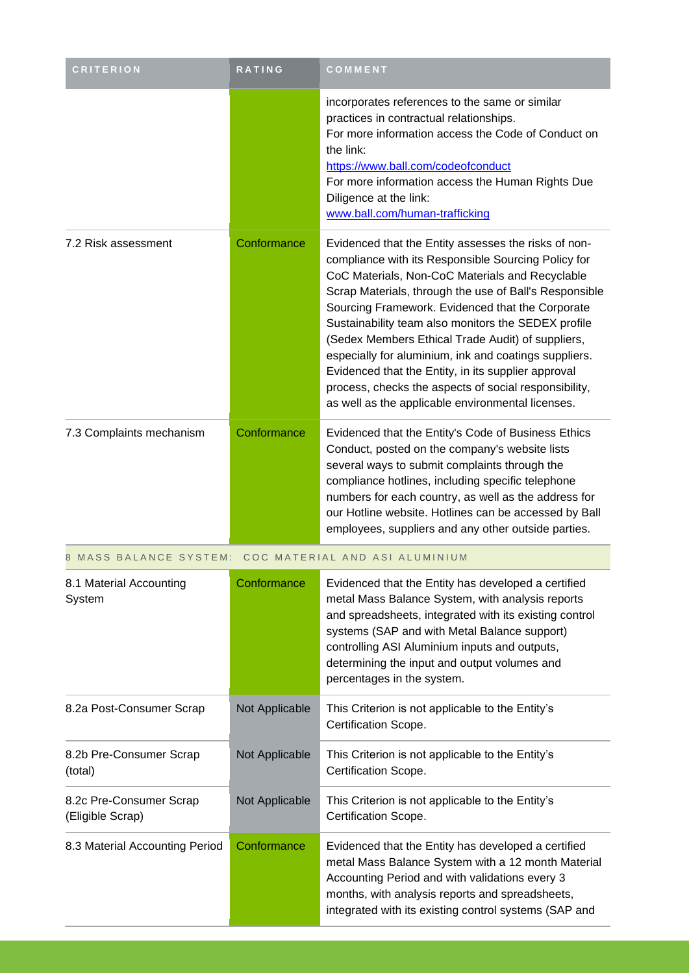| <b>CRITERION</b>                            | <b>RATING</b>  | COMMENT                                                                                                                                                                                                                                                                                                                                                                                                                                                                                                                                                                                                                |
|---------------------------------------------|----------------|------------------------------------------------------------------------------------------------------------------------------------------------------------------------------------------------------------------------------------------------------------------------------------------------------------------------------------------------------------------------------------------------------------------------------------------------------------------------------------------------------------------------------------------------------------------------------------------------------------------------|
|                                             |                | incorporates references to the same or similar<br>practices in contractual relationships.<br>For more information access the Code of Conduct on<br>the link:<br>https://www.ball.com/codeofconduct<br>For more information access the Human Rights Due<br>Diligence at the link:<br>www.ball.com/human-trafficking                                                                                                                                                                                                                                                                                                     |
| 7.2 Risk assessment                         | Conformance    | Evidenced that the Entity assesses the risks of non-<br>compliance with its Responsible Sourcing Policy for<br>CoC Materials, Non-CoC Materials and Recyclable<br>Scrap Materials, through the use of Ball's Responsible<br>Sourcing Framework. Evidenced that the Corporate<br>Sustainability team also monitors the SEDEX profile<br>(Sedex Members Ethical Trade Audit) of suppliers,<br>especially for aluminium, ink and coatings suppliers.<br>Evidenced that the Entity, in its supplier approval<br>process, checks the aspects of social responsibility,<br>as well as the applicable environmental licenses. |
| 7.3 Complaints mechanism                    | Conformance    | Evidenced that the Entity's Code of Business Ethics<br>Conduct, posted on the company's website lists<br>several ways to submit complaints through the<br>compliance hotlines, including specific telephone<br>numbers for each country, as well as the address for<br>our Hotline website. Hotlines can be accessed by Ball<br>employees, suppliers and any other outside parties.                                                                                                                                                                                                                                    |
| 8 MASS BALANCE SYSTEM:                      |                | COC MATERIAL AND ASI ALUMINIUM                                                                                                                                                                                                                                                                                                                                                                                                                                                                                                                                                                                         |
| 8.1 Material Accounting<br>System           | Conformance    | Evidenced that the Entity has developed a certified<br>metal Mass Balance System, with analysis reports<br>and spreadsheets, integrated with its existing control<br>systems (SAP and with Metal Balance support)<br>controlling ASI Aluminium inputs and outputs,<br>determining the input and output volumes and<br>percentages in the system.                                                                                                                                                                                                                                                                       |
| 8.2a Post-Consumer Scrap                    | Not Applicable | This Criterion is not applicable to the Entity's<br>Certification Scope.                                                                                                                                                                                                                                                                                                                                                                                                                                                                                                                                               |
| 8.2b Pre-Consumer Scrap<br>(total)          | Not Applicable | This Criterion is not applicable to the Entity's<br>Certification Scope.                                                                                                                                                                                                                                                                                                                                                                                                                                                                                                                                               |
| 8.2c Pre-Consumer Scrap<br>(Eligible Scrap) | Not Applicable | This Criterion is not applicable to the Entity's<br>Certification Scope.                                                                                                                                                                                                                                                                                                                                                                                                                                                                                                                                               |
| 8.3 Material Accounting Period              | Conformance    | Evidenced that the Entity has developed a certified<br>metal Mass Balance System with a 12 month Material<br>Accounting Period and with validations every 3<br>months, with analysis reports and spreadsheets,<br>integrated with its existing control systems (SAP and                                                                                                                                                                                                                                                                                                                                                |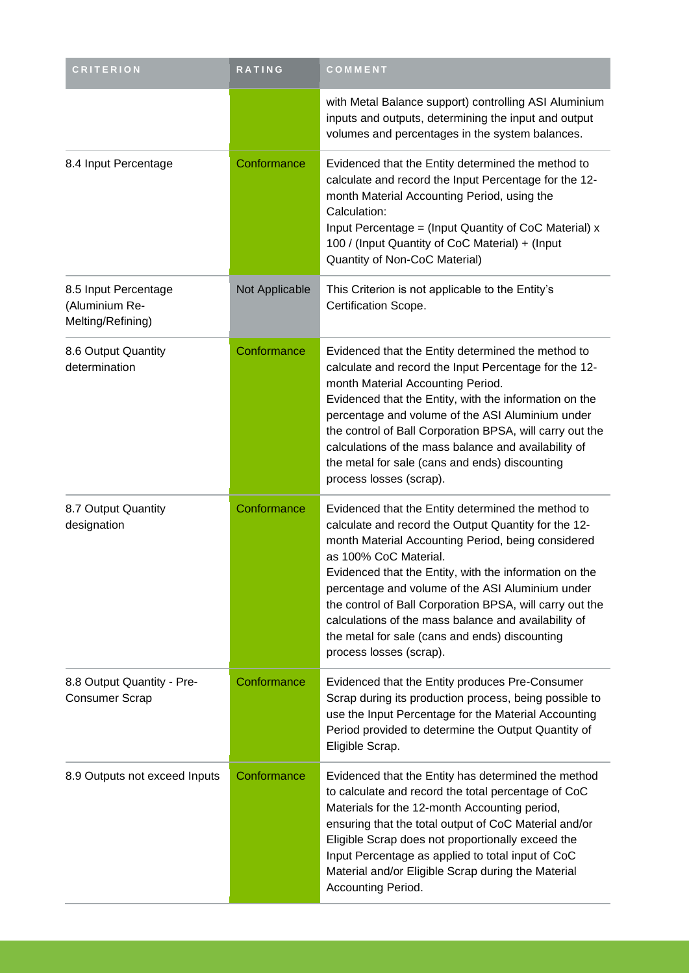| <b>CRITERION</b>                                            | RATING         | COMMENT                                                                                                                                                                                                                                                                                                                                                                                                                                                                                                  |
|-------------------------------------------------------------|----------------|----------------------------------------------------------------------------------------------------------------------------------------------------------------------------------------------------------------------------------------------------------------------------------------------------------------------------------------------------------------------------------------------------------------------------------------------------------------------------------------------------------|
|                                                             |                | with Metal Balance support) controlling ASI Aluminium<br>inputs and outputs, determining the input and output<br>volumes and percentages in the system balances.                                                                                                                                                                                                                                                                                                                                         |
| 8.4 Input Percentage                                        | Conformance    | Evidenced that the Entity determined the method to<br>calculate and record the Input Percentage for the 12-<br>month Material Accounting Period, using the<br>Calculation:<br>Input Percentage = (Input Quantity of CoC Material) x<br>100 / (Input Quantity of CoC Material) + (Input<br>Quantity of Non-CoC Material)                                                                                                                                                                                  |
| 8.5 Input Percentage<br>(Aluminium Re-<br>Melting/Refining) | Not Applicable | This Criterion is not applicable to the Entity's<br>Certification Scope.                                                                                                                                                                                                                                                                                                                                                                                                                                 |
| 8.6 Output Quantity<br>determination                        | Conformance    | Evidenced that the Entity determined the method to<br>calculate and record the Input Percentage for the 12-<br>month Material Accounting Period.<br>Evidenced that the Entity, with the information on the<br>percentage and volume of the ASI Aluminium under<br>the control of Ball Corporation BPSA, will carry out the<br>calculations of the mass balance and availability of<br>the metal for sale (cans and ends) discounting<br>process losses (scrap).                                          |
| 8.7 Output Quantity<br>designation                          | Conformance    | Evidenced that the Entity determined the method to<br>calculate and record the Output Quantity for the 12-<br>month Material Accounting Period, being considered<br>as 100% CoC Material.<br>Evidenced that the Entity, with the information on the<br>percentage and volume of the ASI Aluminium under<br>the control of Ball Corporation BPSA, will carry out the<br>calculations of the mass balance and availability of<br>the metal for sale (cans and ends) discounting<br>process losses (scrap). |
| 8.8 Output Quantity - Pre-<br><b>Consumer Scrap</b>         | Conformance    | Evidenced that the Entity produces Pre-Consumer<br>Scrap during its production process, being possible to<br>use the Input Percentage for the Material Accounting<br>Period provided to determine the Output Quantity of<br>Eligible Scrap.                                                                                                                                                                                                                                                              |
| 8.9 Outputs not exceed Inputs                               | Conformance    | Evidenced that the Entity has determined the method<br>to calculate and record the total percentage of CoC<br>Materials for the 12-month Accounting period,<br>ensuring that the total output of CoC Material and/or<br>Eligible Scrap does not proportionally exceed the<br>Input Percentage as applied to total input of CoC<br>Material and/or Eligible Scrap during the Material<br>Accounting Period.                                                                                               |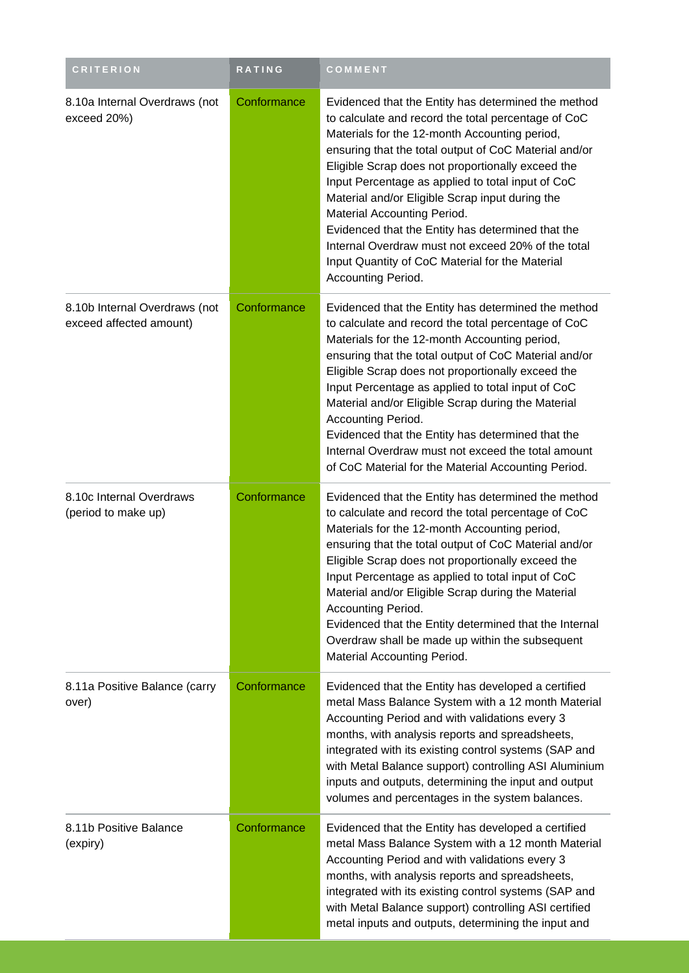| <b>CRITERION</b>                                         | RATING      | COMMENT                                                                                                                                                                                                                                                                                                                                                                                                                                                                                                                                                                                              |
|----------------------------------------------------------|-------------|------------------------------------------------------------------------------------------------------------------------------------------------------------------------------------------------------------------------------------------------------------------------------------------------------------------------------------------------------------------------------------------------------------------------------------------------------------------------------------------------------------------------------------------------------------------------------------------------------|
| 8.10a Internal Overdraws (not<br>exceed 20%)             | Conformance | Evidenced that the Entity has determined the method<br>to calculate and record the total percentage of CoC<br>Materials for the 12-month Accounting period,<br>ensuring that the total output of CoC Material and/or<br>Eligible Scrap does not proportionally exceed the<br>Input Percentage as applied to total input of CoC<br>Material and/or Eligible Scrap input during the<br>Material Accounting Period.<br>Evidenced that the Entity has determined that the<br>Internal Overdraw must not exceed 20% of the total<br>Input Quantity of CoC Material for the Material<br>Accounting Period. |
| 8.10b Internal Overdraws (not<br>exceed affected amount) | Conformance | Evidenced that the Entity has determined the method<br>to calculate and record the total percentage of CoC<br>Materials for the 12-month Accounting period,<br>ensuring that the total output of CoC Material and/or<br>Eligible Scrap does not proportionally exceed the<br>Input Percentage as applied to total input of CoC<br>Material and/or Eligible Scrap during the Material<br>Accounting Period.<br>Evidenced that the Entity has determined that the<br>Internal Overdraw must not exceed the total amount<br>of CoC Material for the Material Accounting Period.                         |
| 8.10c Internal Overdraws<br>(period to make up)          | Conformance | Evidenced that the Entity has determined the method<br>to calculate and record the total percentage of CoC<br>Materials for the 12-month Accounting period,<br>ensuring that the total output of CoC Material and/or<br>Eligible Scrap does not proportionally exceed the<br>Input Percentage as applied to total input of CoC<br>Material and/or Eligible Scrap during the Material<br>Accounting Period.<br>Evidenced that the Entity determined that the Internal<br>Overdraw shall be made up within the subsequent<br>Material Accounting Period.                                               |
| 8.11a Positive Balance (carry<br>over)                   | Conformance | Evidenced that the Entity has developed a certified<br>metal Mass Balance System with a 12 month Material<br>Accounting Period and with validations every 3<br>months, with analysis reports and spreadsheets,<br>integrated with its existing control systems (SAP and<br>with Metal Balance support) controlling ASI Aluminium<br>inputs and outputs, determining the input and output<br>volumes and percentages in the system balances.                                                                                                                                                          |
| 8.11b Positive Balance<br>(expiry)                       | Conformance | Evidenced that the Entity has developed a certified<br>metal Mass Balance System with a 12 month Material<br>Accounting Period and with validations every 3<br>months, with analysis reports and spreadsheets,<br>integrated with its existing control systems (SAP and<br>with Metal Balance support) controlling ASI certified<br>metal inputs and outputs, determining the input and                                                                                                                                                                                                              |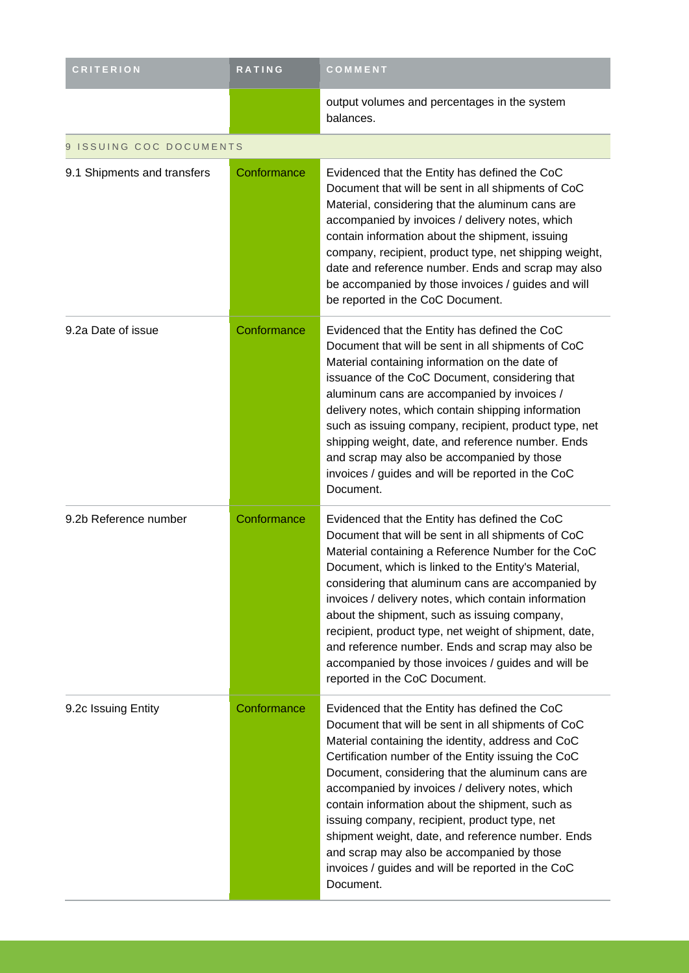| <b>CRITERION</b>                  | RATING      | COMMENT                                                                                                                                                                                                                                                                                                                                                                                                                                                                                                                                                                                        |
|-----------------------------------|-------------|------------------------------------------------------------------------------------------------------------------------------------------------------------------------------------------------------------------------------------------------------------------------------------------------------------------------------------------------------------------------------------------------------------------------------------------------------------------------------------------------------------------------------------------------------------------------------------------------|
|                                   |             | output volumes and percentages in the system<br>balances.                                                                                                                                                                                                                                                                                                                                                                                                                                                                                                                                      |
| <b>ISSUING COC DOCUMENTS</b><br>9 |             |                                                                                                                                                                                                                                                                                                                                                                                                                                                                                                                                                                                                |
| 9.1 Shipments and transfers       | Conformance | Evidenced that the Entity has defined the CoC<br>Document that will be sent in all shipments of CoC<br>Material, considering that the aluminum cans are<br>accompanied by invoices / delivery notes, which<br>contain information about the shipment, issuing<br>company, recipient, product type, net shipping weight,<br>date and reference number. Ends and scrap may also<br>be accompanied by those invoices / guides and will<br>be reported in the CoC Document.                                                                                                                        |
| 9.2a Date of issue                | Conformance | Evidenced that the Entity has defined the CoC<br>Document that will be sent in all shipments of CoC<br>Material containing information on the date of<br>issuance of the CoC Document, considering that<br>aluminum cans are accompanied by invoices /<br>delivery notes, which contain shipping information<br>such as issuing company, recipient, product type, net<br>shipping weight, date, and reference number. Ends<br>and scrap may also be accompanied by those<br>invoices / guides and will be reported in the CoC<br>Document.                                                     |
| 9.2b Reference number             | Conformance | Evidenced that the Entity has defined the CoC<br>Document that will be sent in all shipments of CoC<br>Material containing a Reference Number for the CoC<br>Document, which is linked to the Entity's Material,<br>considering that aluminum cans are accompanied by<br>invoices / delivery notes, which contain information<br>about the shipment, such as issuing company,<br>recipient, product type, net weight of shipment, date,<br>and reference number. Ends and scrap may also be<br>accompanied by those invoices / guides and will be<br>reported in the CoC Document.             |
| 9.2c Issuing Entity               | Conformance | Evidenced that the Entity has defined the CoC<br>Document that will be sent in all shipments of CoC<br>Material containing the identity, address and CoC<br>Certification number of the Entity issuing the CoC<br>Document, considering that the aluminum cans are<br>accompanied by invoices / delivery notes, which<br>contain information about the shipment, such as<br>issuing company, recipient, product type, net<br>shipment weight, date, and reference number. Ends<br>and scrap may also be accompanied by those<br>invoices / guides and will be reported in the CoC<br>Document. |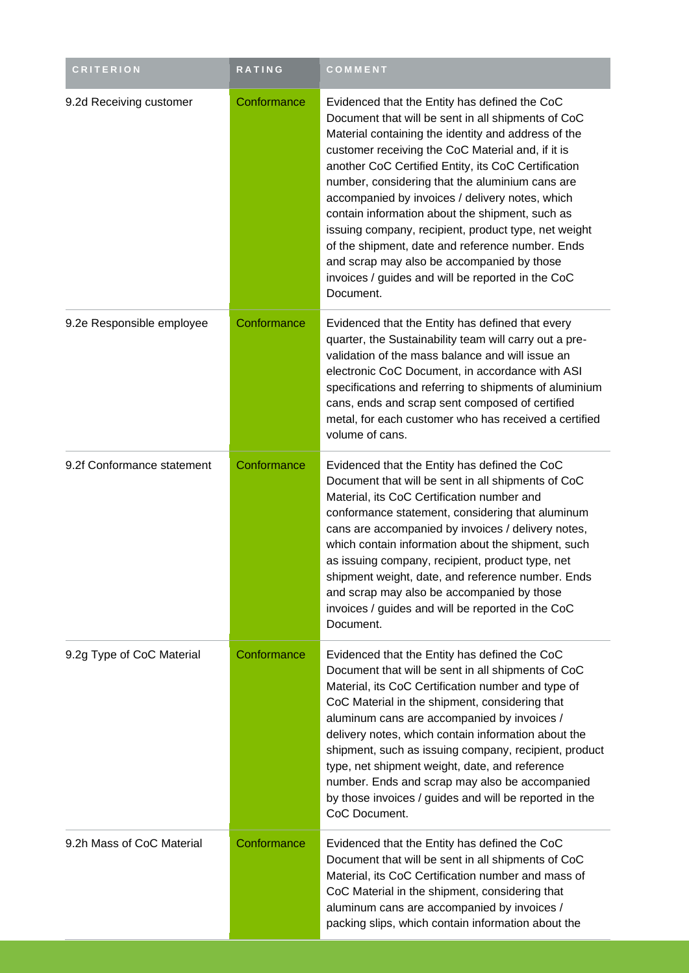| <b>CRITERION</b>           | <b>RATING</b> | COMMENT                                                                                                                                                                                                                                                                                                                                                                                                                                                                                                                                                                                                                                                     |
|----------------------------|---------------|-------------------------------------------------------------------------------------------------------------------------------------------------------------------------------------------------------------------------------------------------------------------------------------------------------------------------------------------------------------------------------------------------------------------------------------------------------------------------------------------------------------------------------------------------------------------------------------------------------------------------------------------------------------|
| 9.2d Receiving customer    | Conformance   | Evidenced that the Entity has defined the CoC<br>Document that will be sent in all shipments of CoC<br>Material containing the identity and address of the<br>customer receiving the CoC Material and, if it is<br>another CoC Certified Entity, its CoC Certification<br>number, considering that the aluminium cans are<br>accompanied by invoices / delivery notes, which<br>contain information about the shipment, such as<br>issuing company, recipient, product type, net weight<br>of the shipment, date and reference number. Ends<br>and scrap may also be accompanied by those<br>invoices / guides and will be reported in the CoC<br>Document. |
| 9.2e Responsible employee  | Conformance   | Evidenced that the Entity has defined that every<br>quarter, the Sustainability team will carry out a pre-<br>validation of the mass balance and will issue an<br>electronic CoC Document, in accordance with ASI<br>specifications and referring to shipments of aluminium<br>cans, ends and scrap sent composed of certified<br>metal, for each customer who has received a certified<br>volume of cans.                                                                                                                                                                                                                                                  |
| 9.2f Conformance statement | Conformance   | Evidenced that the Entity has defined the CoC<br>Document that will be sent in all shipments of CoC<br>Material, its CoC Certification number and<br>conformance statement, considering that aluminum<br>cans are accompanied by invoices / delivery notes,<br>which contain information about the shipment, such<br>as issuing company, recipient, product type, net<br>shipment weight, date, and reference number. Ends<br>and scrap may also be accompanied by those<br>invoices / guides and will be reported in the CoC<br>Document.                                                                                                                  |
| 9.2g Type of CoC Material  | Conformance   | Evidenced that the Entity has defined the CoC<br>Document that will be sent in all shipments of CoC<br>Material, its CoC Certification number and type of<br>CoC Material in the shipment, considering that<br>aluminum cans are accompanied by invoices /<br>delivery notes, which contain information about the<br>shipment, such as issuing company, recipient, product<br>type, net shipment weight, date, and reference<br>number. Ends and scrap may also be accompanied<br>by those invoices / guides and will be reported in the<br>CoC Document.                                                                                                   |
| 9.2h Mass of CoC Material  | Conformance   | Evidenced that the Entity has defined the CoC<br>Document that will be sent in all shipments of CoC<br>Material, its CoC Certification number and mass of<br>CoC Material in the shipment, considering that<br>aluminum cans are accompanied by invoices /<br>packing slips, which contain information about the                                                                                                                                                                                                                                                                                                                                            |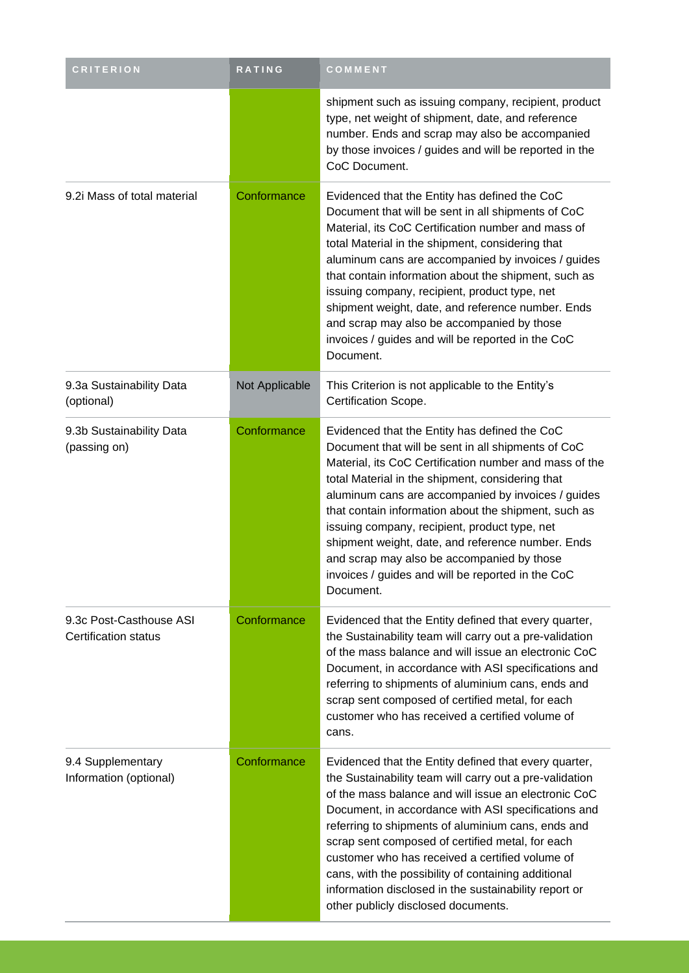| <b>CRITERION</b>                                | RATING         | COMMENT                                                                                                                                                                                                                                                                                                                                                                                                                                                                                                                                               |
|-------------------------------------------------|----------------|-------------------------------------------------------------------------------------------------------------------------------------------------------------------------------------------------------------------------------------------------------------------------------------------------------------------------------------------------------------------------------------------------------------------------------------------------------------------------------------------------------------------------------------------------------|
|                                                 |                | shipment such as issuing company, recipient, product<br>type, net weight of shipment, date, and reference<br>number. Ends and scrap may also be accompanied<br>by those invoices / guides and will be reported in the<br>CoC Document.                                                                                                                                                                                                                                                                                                                |
| 9.2i Mass of total material                     | Conformance    | Evidenced that the Entity has defined the CoC<br>Document that will be sent in all shipments of CoC<br>Material, its CoC Certification number and mass of<br>total Material in the shipment, considering that<br>aluminum cans are accompanied by invoices / guides<br>that contain information about the shipment, such as<br>issuing company, recipient, product type, net<br>shipment weight, date, and reference number. Ends<br>and scrap may also be accompanied by those<br>invoices / guides and will be reported in the CoC<br>Document.     |
| 9.3a Sustainability Data<br>(optional)          | Not Applicable | This Criterion is not applicable to the Entity's<br>Certification Scope.                                                                                                                                                                                                                                                                                                                                                                                                                                                                              |
| 9.3b Sustainability Data<br>(passing on)        | Conformance    | Evidenced that the Entity has defined the CoC<br>Document that will be sent in all shipments of CoC<br>Material, its CoC Certification number and mass of the<br>total Material in the shipment, considering that<br>aluminum cans are accompanied by invoices / guides<br>that contain information about the shipment, such as<br>issuing company, recipient, product type, net<br>shipment weight, date, and reference number. Ends<br>and scrap may also be accompanied by those<br>invoices / guides and will be reported in the CoC<br>Document. |
| 9.3c Post-Casthouse ASI<br>Certification status | Conformance    | Evidenced that the Entity defined that every quarter,<br>the Sustainability team will carry out a pre-validation<br>of the mass balance and will issue an electronic CoC<br>Document, in accordance with ASI specifications and<br>referring to shipments of aluminium cans, ends and<br>scrap sent composed of certified metal, for each<br>customer who has received a certified volume of<br>cans.                                                                                                                                                 |
| 9.4 Supplementary<br>Information (optional)     | Conformance    | Evidenced that the Entity defined that every quarter,<br>the Sustainability team will carry out a pre-validation<br>of the mass balance and will issue an electronic CoC<br>Document, in accordance with ASI specifications and<br>referring to shipments of aluminium cans, ends and<br>scrap sent composed of certified metal, for each<br>customer who has received a certified volume of<br>cans, with the possibility of containing additional<br>information disclosed in the sustainability report or<br>other publicly disclosed documents.   |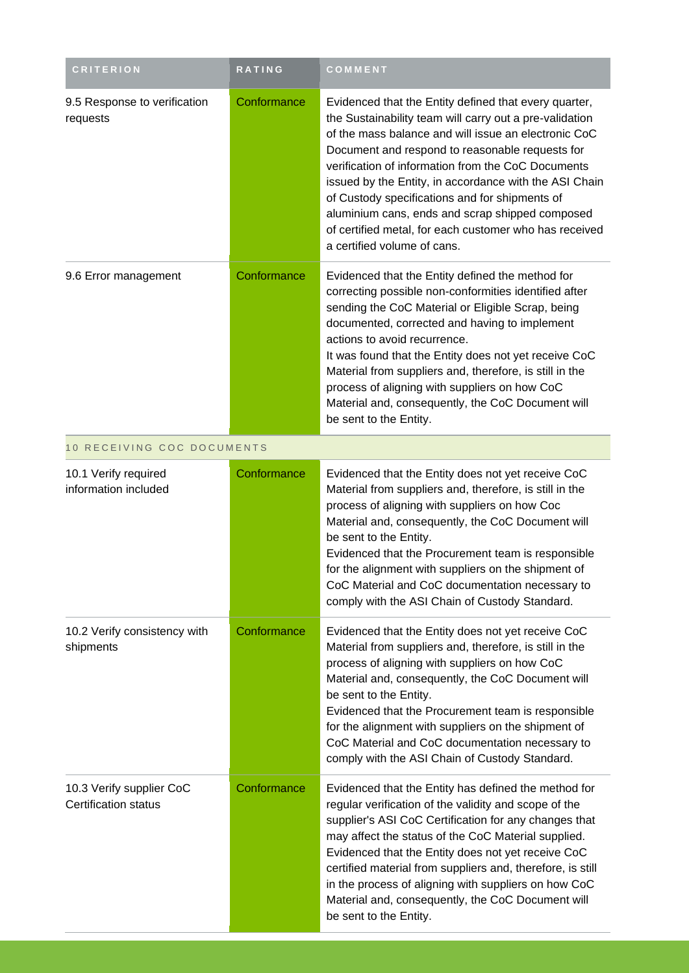| <b>CRITERION</b>                                        | <b>RATING</b> | COMMENT                                                                                                                                                                                                                                                                                                                                                                                                                                                                                                                                   |
|---------------------------------------------------------|---------------|-------------------------------------------------------------------------------------------------------------------------------------------------------------------------------------------------------------------------------------------------------------------------------------------------------------------------------------------------------------------------------------------------------------------------------------------------------------------------------------------------------------------------------------------|
| 9.5 Response to verification<br>requests                | Conformance   | Evidenced that the Entity defined that every quarter,<br>the Sustainability team will carry out a pre-validation<br>of the mass balance and will issue an electronic CoC<br>Document and respond to reasonable requests for<br>verification of information from the CoC Documents<br>issued by the Entity, in accordance with the ASI Chain<br>of Custody specifications and for shipments of<br>aluminium cans, ends and scrap shipped composed<br>of certified metal, for each customer who has received<br>a certified volume of cans. |
| 9.6 Error management                                    | Conformance   | Evidenced that the Entity defined the method for<br>correcting possible non-conformities identified after<br>sending the CoC Material or Eligible Scrap, being<br>documented, corrected and having to implement<br>actions to avoid recurrence.<br>It was found that the Entity does not yet receive CoC<br>Material from suppliers and, therefore, is still in the<br>process of aligning with suppliers on how CoC<br>Material and, consequently, the CoC Document will<br>be sent to the Entity.                                       |
| 10 RECEIVING COC DOCUMENTS                              |               |                                                                                                                                                                                                                                                                                                                                                                                                                                                                                                                                           |
| 10.1 Verify required<br>information included            | Conformance   | Evidenced that the Entity does not yet receive CoC<br>Material from suppliers and, therefore, is still in the<br>process of aligning with suppliers on how Coc<br>Material and, consequently, the CoC Document will<br>be sent to the Entity.<br>Evidenced that the Procurement team is responsible<br>for the alignment with suppliers on the shipment of<br>CoC Material and CoC documentation necessary to<br>comply with the ASI Chain of Custody Standard.                                                                           |
| 10.2 Verify consistency with<br>shipments               | Conformance   | Evidenced that the Entity does not yet receive CoC<br>Material from suppliers and, therefore, is still in the<br>process of aligning with suppliers on how CoC<br>Material and, consequently, the CoC Document will<br>be sent to the Entity.<br>Evidenced that the Procurement team is responsible<br>for the alignment with suppliers on the shipment of<br>CoC Material and CoC documentation necessary to<br>comply with the ASI Chain of Custody Standard.                                                                           |
| 10.3 Verify supplier CoC<br><b>Certification status</b> | Conformance   | Evidenced that the Entity has defined the method for<br>regular verification of the validity and scope of the<br>supplier's ASI CoC Certification for any changes that<br>may affect the status of the CoC Material supplied.<br>Evidenced that the Entity does not yet receive CoC<br>certified material from suppliers and, therefore, is still<br>in the process of aligning with suppliers on how CoC<br>Material and, consequently, the CoC Document will<br>be sent to the Entity.                                                  |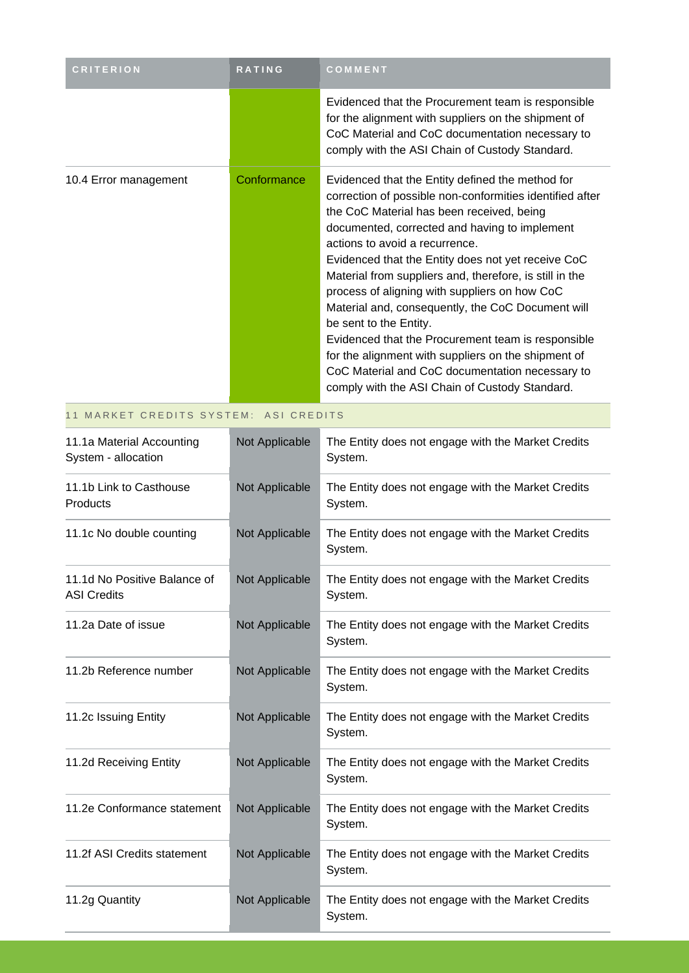| <b>CRITERION</b>      | <b>RATING</b> | COMMENT                                                                                                                                                                                                                                                                                                                                                                                                                                                                                                                                                                                                                                                                                                         |
|-----------------------|---------------|-----------------------------------------------------------------------------------------------------------------------------------------------------------------------------------------------------------------------------------------------------------------------------------------------------------------------------------------------------------------------------------------------------------------------------------------------------------------------------------------------------------------------------------------------------------------------------------------------------------------------------------------------------------------------------------------------------------------|
|                       |               | Evidenced that the Procurement team is responsible<br>for the alignment with suppliers on the shipment of<br>CoC Material and CoC documentation necessary to<br>comply with the ASI Chain of Custody Standard.                                                                                                                                                                                                                                                                                                                                                                                                                                                                                                  |
| 10.4 Error management | Conformance   | Evidenced that the Entity defined the method for<br>correction of possible non-conformities identified after<br>the CoC Material has been received, being<br>documented, corrected and having to implement<br>actions to avoid a recurrence.<br>Evidenced that the Entity does not yet receive CoC<br>Material from suppliers and, therefore, is still in the<br>process of aligning with suppliers on how CoC<br>Material and, consequently, the CoC Document will<br>be sent to the Entity.<br>Evidenced that the Procurement team is responsible<br>for the alignment with suppliers on the shipment of<br>CoC Material and CoC documentation necessary to<br>comply with the ASI Chain of Custody Standard. |

#### 11 MARKET CREDITS SYSTEM: ASI CREDITS

| 11.1a Material Accounting<br>System - allocation   | Not Applicable | The Entity does not engage with the Market Credits<br>System. |
|----------------------------------------------------|----------------|---------------------------------------------------------------|
| 11.1b Link to Casthouse<br>Products                | Not Applicable | The Entity does not engage with the Market Credits<br>System. |
| 11.1c No double counting                           | Not Applicable | The Entity does not engage with the Market Credits<br>System. |
| 11.1d No Positive Balance of<br><b>ASI Credits</b> | Not Applicable | The Entity does not engage with the Market Credits<br>System. |
| 11.2a Date of issue                                | Not Applicable | The Entity does not engage with the Market Credits<br>System. |
| 11.2b Reference number                             | Not Applicable | The Entity does not engage with the Market Credits<br>System. |
| 11.2c Issuing Entity                               | Not Applicable | The Entity does not engage with the Market Credits<br>System. |
| 11.2d Receiving Entity                             | Not Applicable | The Entity does not engage with the Market Credits<br>System. |
| 11.2e Conformance statement                        | Not Applicable | The Entity does not engage with the Market Credits<br>System. |
| 11.2f ASI Credits statement                        | Not Applicable | The Entity does not engage with the Market Credits<br>System. |
| 11.2g Quantity                                     | Not Applicable | The Entity does not engage with the Market Credits<br>System. |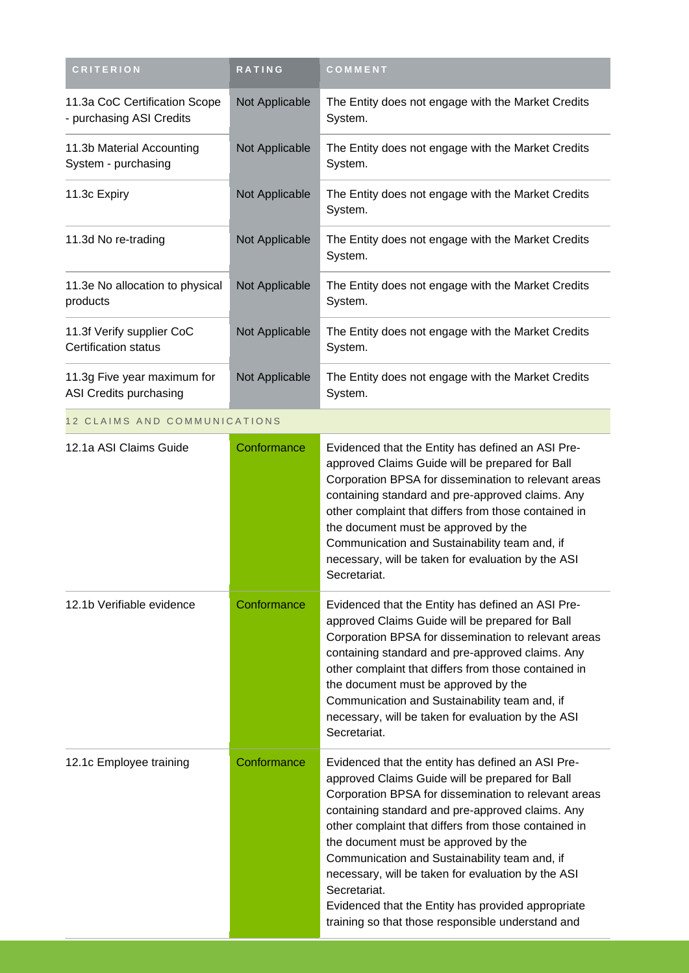| <b>CRITERION</b>                                          | <b>RATING</b>  | COMMENT                                                                                                                                                                                                                                                                                                                                                                                                                                                                                                                                            |
|-----------------------------------------------------------|----------------|----------------------------------------------------------------------------------------------------------------------------------------------------------------------------------------------------------------------------------------------------------------------------------------------------------------------------------------------------------------------------------------------------------------------------------------------------------------------------------------------------------------------------------------------------|
| 11.3a CoC Certification Scope<br>- purchasing ASI Credits | Not Applicable | The Entity does not engage with the Market Credits<br>System.                                                                                                                                                                                                                                                                                                                                                                                                                                                                                      |
| 11.3b Material Accounting<br>System - purchasing          | Not Applicable | The Entity does not engage with the Market Credits<br>System.                                                                                                                                                                                                                                                                                                                                                                                                                                                                                      |
| 11.3c Expiry                                              | Not Applicable | The Entity does not engage with the Market Credits<br>System.                                                                                                                                                                                                                                                                                                                                                                                                                                                                                      |
| 11.3d No re-trading                                       | Not Applicable | The Entity does not engage with the Market Credits<br>System.                                                                                                                                                                                                                                                                                                                                                                                                                                                                                      |
| 11.3e No allocation to physical<br>products               | Not Applicable | The Entity does not engage with the Market Credits<br>System.                                                                                                                                                                                                                                                                                                                                                                                                                                                                                      |
| 11.3f Verify supplier CoC<br><b>Certification status</b>  | Not Applicable | The Entity does not engage with the Market Credits<br>System.                                                                                                                                                                                                                                                                                                                                                                                                                                                                                      |
| 11.3g Five year maximum for<br>ASI Credits purchasing     | Not Applicable | The Entity does not engage with the Market Credits<br>System.                                                                                                                                                                                                                                                                                                                                                                                                                                                                                      |
| 12 CLAIMS AND COMMUNICATIONS                              |                |                                                                                                                                                                                                                                                                                                                                                                                                                                                                                                                                                    |
| 12.1a ASI Claims Guide                                    | Conformance    | Evidenced that the Entity has defined an ASI Pre-<br>approved Claims Guide will be prepared for Ball<br>Corporation BPSA for dissemination to relevant areas<br>containing standard and pre-approved claims. Any<br>other complaint that differs from those contained in<br>the document must be approved by the<br>Communication and Sustainability team and, if<br>necessary, will be taken for evaluation by the ASI<br>Secretariat.                                                                                                            |
| 12.1b Verifiable evidence                                 | Conformance    | Evidenced that the Entity has defined an ASI Pre-<br>approved Claims Guide will be prepared for Ball<br>Corporation BPSA for dissemination to relevant areas<br>containing standard and pre-approved claims. Any<br>other complaint that differs from those contained in<br>the document must be approved by the<br>Communication and Sustainability team and, if<br>necessary, will be taken for evaluation by the ASI<br>Secretariat.                                                                                                            |
| 12.1c Employee training                                   | Conformance    | Evidenced that the entity has defined an ASI Pre-<br>approved Claims Guide will be prepared for Ball<br>Corporation BPSA for dissemination to relevant areas<br>containing standard and pre-approved claims. Any<br>other complaint that differs from those contained in<br>the document must be approved by the<br>Communication and Sustainability team and, if<br>necessary, will be taken for evaluation by the ASI<br>Secretariat.<br>Evidenced that the Entity has provided appropriate<br>training so that those responsible understand and |